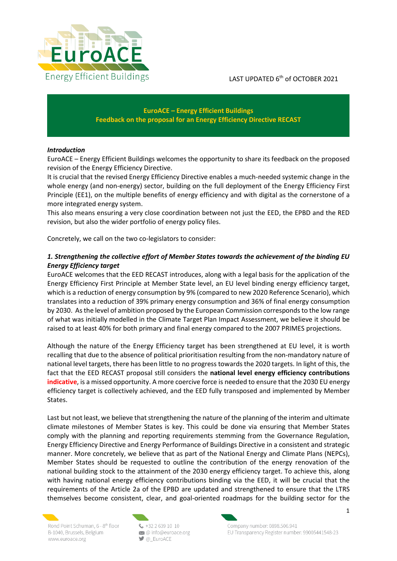

## **EuroACE – Energy Efficient Buildings Feedback on the proposal for an Energy Efficiency Directive RECAST**

## *Introduction*

EuroACE – Energy Efficient Buildings welcomes the opportunity to share its feedback on the proposed revision of the Energy Efficiency Directive.

It is crucial that the revised Energy Efficiency Directive enables a much-needed systemic change in the whole energy (and non-energy) sector, building on the full deployment of the Energy Efficiency First Principle (EE1), on the multiple benefits of energy efficiency and with digital as the cornerstone of a more integrated energy system.

This also means ensuring a very close coordination between not just the EED, the EPBD and the RED revision, but also the wider portfolio of energy policy files.

Concretely, we call on the two co-legislators to consider:

## *1. Strengthening the collective effort of Member States towards the achievement of the binding EU Energy Efficiency target*

EuroACE welcomes that the EED RECAST introduces, along with a legal basis for the application of the Energy Efficiency First Principle at Member State level, an EU level binding energy efficiency target, which is a reduction of energy consumption by 9% (compared to new 2020 Reference Scenario), which translates into a reduction of 39% primary energy consumption and 36% of final energy consumption by 2030. As the level of ambition proposed by the European Commission corresponds to the low range of what was initially modelled in the Climate Target Plan Impact Assessment, we believe it should be raised to at least 40% for both primary and final energy compared to the 2007 PRIMES projections.

Although the nature of the Energy Efficiency target has been strengthened at EU level, it is worth recalling that due to the absence of political prioritisation resulting from the non-mandatory nature of national level targets, there has been little to no progress towards the 2020 targets. In light of this, the fact that the EED RECAST proposal still considers the **national level energy efficiency contributions indicative**, is a missed opportunity. A more coercive force is needed to ensure that the 2030 EU energy efficiency target is collectively achieved, and the EED fully transposed and implemented by Member States.

Last but not least, we believe that strengthening the nature of the planning of the interim and ultimate climate milestones of Member States is key. This could be done via ensuring that Member States comply with the planning and reporting requirements stemming from the Governance Regulation, Energy Efficiency Directive and Energy Performance of Buildings Directive in a consistent and strategic manner. More concretely, we believe that as part of the National Energy and Climate Plans (NEPCs), Member States should be requested to outline the contribution of the energy renovation of the national building stock to the attainment of the 2030 energy efficiency target. To achieve this, along with having national energy efficiency contributions binding via the EED, it will be crucial that the requirements of the Article 2a of the EPBD are updated and strengthened to ensure that the LTRS themselves become consistent, clear, and goal-oriented roadmaps for the building sector for the



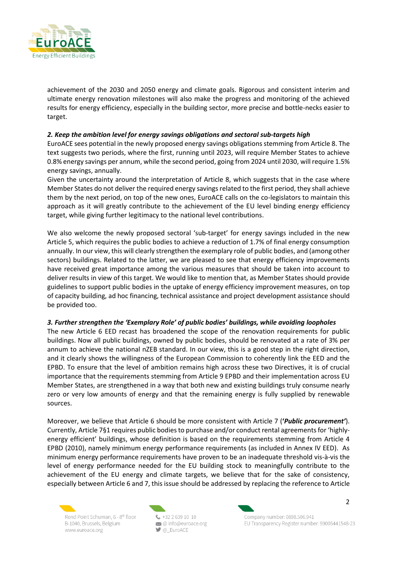

achievement of the 2030 and 2050 energy and climate goals. Rigorous and consistent interim and ultimate energy renovation milestones will also make the progress and monitoring of the achieved results for energy efficiency, especially in the building sector, more precise and bottle-necks easier to target.

## *2. Keep the ambition level for energy savings obligations and sectoral sub-targets high*

EuroACE sees potential in the newly proposed energy savings obligations stemming from Article 8. The text suggests two periods, where the first, running until 2023, will require Member States to achieve 0.8% energy savings per annum, while the second period, going from 2024 until 2030, will require 1.5% energy savings, annually.

Given the uncertainty around the interpretation of Article 8, which suggests that in the case where Member States do not deliver the required energy savings related to the first period, they shall achieve them by the next period, on top of the new ones, EuroACE calls on the co-legislators to maintain this approach as it will greatly contribute to the achievement of the EU level binding energy efficiency target, while giving further legitimacy to the national level contributions.

We also welcome the newly proposed sectoral 'sub-target' for energy savings included in the new Article 5, which requires the public bodies to achieve a reduction of 1.7% of final energy consumption annually. In our view, this will clearly strengthen the exemplary role of public bodies, and (among other sectors) buildings. Related to the latter, we are pleased to see that energy efficiency improvements have received great importance among the various measures that should be taken into account to deliver results in view of this target. We would like to mention that, as Member States should provide guidelines to support public bodies in the uptake of energy efficiency improvement measures, on top of capacity building, ad hoc financing, technical assistance and project development assistance should be provided too.

### *3. Further strengthen the 'Exemplary Role' of public bodies' buildings, while avoiding loopholes*

The new Article 6 EED recast has broadened the scope of the renovation requirements for public buildings. Now all public buildings, owned by public bodies, should be renovated at a rate of 3% per annum to achieve the national nZEB standard. In our view, this is a good step in the right direction, and it clearly shows the willingness of the European Commission to coherently link the EED and the EPBD. To ensure that the level of ambition remains high across these two Directives, it is of crucial importance that the requirements stemming from Article 9 EPBD and their implementation across EU Member States, are strengthened in a way that both new and existing buildings truly consume nearly zero or very low amounts of energy and that the remaining energy is fully supplied by renewable sources.

Moreover, we believe that Article 6 should be more consistent with Article 7 (**'***Public procurement'*). Currently, Article 7§1 requires public bodies to purchase and/or conduct rental agreements for 'highlyenergy efficient' buildings, whose definition is based on the requirements stemming from Article 4 EPBD (2010), namely minimum energy performance requirements (as included in Annex IV EED). As minimum energy performance requirements have proven to be an inadequate threshold vis-à-vis the level of energy performance needed for the EU building stock to meaningfully contribute to the achievement of the EU energy and climate targets, we believe that for the sake of consistency, especially between Article 6 and 7, this issue should be addressed by replacing the reference to Article



 $4.43226391010$  $\bowtie$  @ info@euroace.org  $\bigcirc$  @\_EuroACE



Company number: 0898,506,941 EU Transparency Register number: 99005441548-23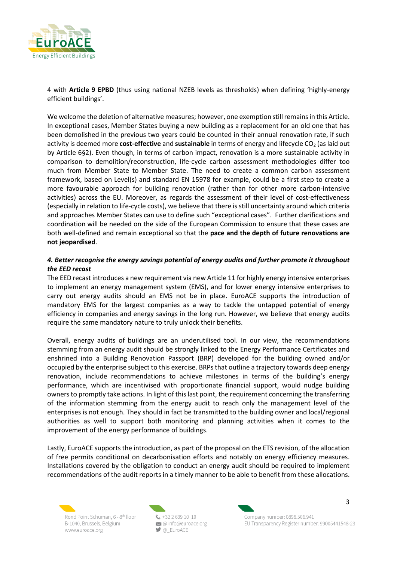

4 with **Article 9 EPBD** (thus using national NZEB levels as thresholds) when defining 'highly-energy efficient buildings'.

We welcome the deletion of alternative measures; however, one exemption still remains in this Article. In exceptional cases, Member States buying a new building as a replacement for an old one that has been demolished in the previous two years could be counted in their annual renovation rate, if such activity is deemed more **cost-effective** and **sustainable** in terms of energy and lifecycle CO<sub>2</sub> (as laid out by Article 6§2). Even though, in terms of carbon impact, renovation is a more sustainable activity in comparison to demolition/reconstruction, life-cycle carbon assessment methodologies differ too much from Member State to Member State. The need to create a common carbon assessment framework, based on Level(s) and standard EN 15978 for example, could be a first step to create a more favourable approach for building renovation (rather than for other more carbon-intensive activities) across the EU. Moreover, as regards the assessment of their level of cost-effectiveness (especially in relation to life-cycle costs), we believe that there is still uncertainty around which criteria and approaches Member States can use to define such "exceptional cases". Further clarifications and coordination will be needed on the side of the European Commission to ensure that these cases are both well-defined and remain exceptional so that the **pace and the depth of future renovations are not jeopardised**.

# *4. Better recognise the energy savings potential of energy audits and further promote it throughout the EED recast*

The EED recast introduces a new requirement via new Article 11 for highly energy intensive enterprises to implement an energy management system (EMS), and for lower energy intensive enterprises to carry out energy audits should an EMS not be in place. EuroACE supports the introduction of mandatory EMS for the largest companies as a way to tackle the untapped potential of energy efficiency in companies and energy savings in the long run. However, we believe that energy audits require the same mandatory nature to truly unlock their benefits.

Overall, energy audits of buildings are an underutilised tool. In our view, the recommendations stemming from an energy audit should be strongly linked to the Energy Performance Certificates and enshrined into a Building Renovation Passport (BRP) developed for the building owned and/or occupied by the enterprise subject to this exercise. BRPs that outline a trajectory towards deep energy renovation, include recommendations to achieve milestones in terms of the building's energy performance, which are incentivised with proportionate financial support, would nudge building owners to promptly take actions. In light of this last point, the requirement concerning the transferring of the information stemming from the energy audit to reach only the management level of the enterprises is not enough. They should in fact be transmitted to the building owner and local/regional authorities as well to support both monitoring and planning activities when it comes to the improvement of the energy performance of buildings.

Lastly, EuroACE supports the introduction, as part of the proposal on the ETS revision, of the allocation of free permits conditional on decarbonisation efforts and notably on energy efficiency measures. Installations covered by the obligation to conduct an energy audit should be required to implement recommendations of the audit reports in a timely manner to be able to benefit from these allocations.



 $4.43226391010$  $\bowtie$  @ info@euroace.org  $\bigcirc$  @\_EuroACE

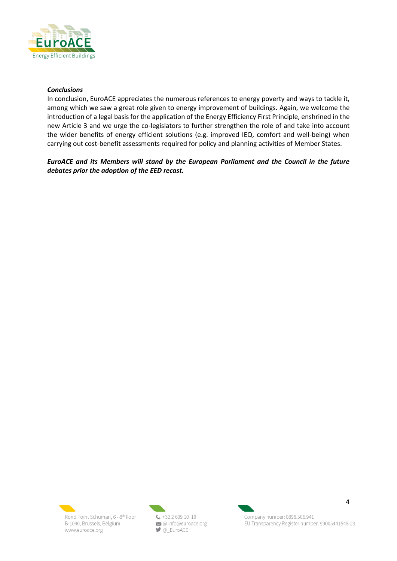

#### *Conclusions*

In conclusion, EuroACE appreciates the numerous references to energy poverty and ways to tackle it, among which we saw a great role given to energy improvement of buildings. Again, we welcome the introduction of a legal basis for the application of the Energy Efficiency First Principle, enshrined in the new Article 3 and we urge the co-legislators to further strengthen the role of and take into account the wider benefits of energy efficient solutions (e.g. improved IEQ, comfort and well-being) when carrying out cost-benefit assessments required for policy and planning activities of Member States.

*EuroACE and its Members will stand by the European Parliament and the Council in the future debates prior the adoption of the EED recast.*